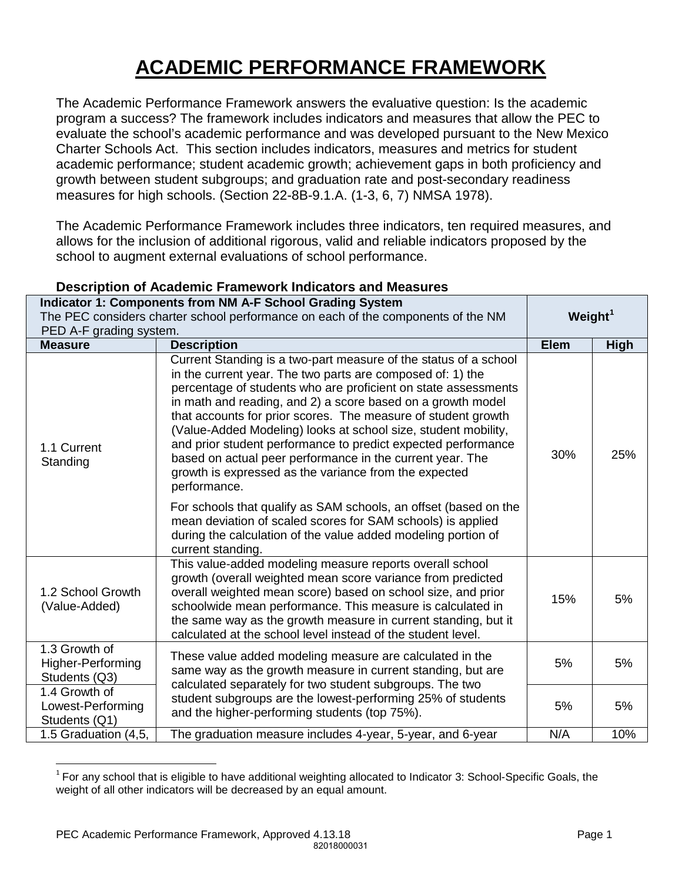# **ACADEMIC PERFORMANCE FRAMEWORK**

The Academic Performance Framework answers the evaluative question: Is the academic program a success? The framework includes indicators and measures that allow the PEC to evaluate the school's academic performance and was developed pursuant to the New Mexico Charter Schools Act. This section includes indicators, measures and metrics for student academic performance; student academic growth; achievement gaps in both proficiency and growth between student subgroups; and graduation rate and post-secondary readiness measures for high schools. (Section 22-8B-9.1.A. (1-3, 6, 7) NMSA 1978).

The Academic Performance Framework includes three indicators, ten required measures, and allows for the inclusion of additional rigorous, valid and reliable indicators proposed by the school to augment external evaluations of school performance.

|                                                                                                             | Indicator 1: Components from NM A-F School Grading System                                                                                                                                                                                                                                                                                                                                                                                                                                                                                                                                                 |            |             |
|-------------------------------------------------------------------------------------------------------------|-----------------------------------------------------------------------------------------------------------------------------------------------------------------------------------------------------------------------------------------------------------------------------------------------------------------------------------------------------------------------------------------------------------------------------------------------------------------------------------------------------------------------------------------------------------------------------------------------------------|------------|-------------|
| The PEC considers charter school performance on each of the components of the NM<br>PED A-F grading system. |                                                                                                                                                                                                                                                                                                                                                                                                                                                                                                                                                                                                           | Weight $1$ |             |
| <b>Measure</b>                                                                                              | <b>Description</b>                                                                                                                                                                                                                                                                                                                                                                                                                                                                                                                                                                                        |            | <b>High</b> |
| 1.1 Current<br>Standing                                                                                     | Current Standing is a two-part measure of the status of a school<br>in the current year. The two parts are composed of: 1) the<br>percentage of students who are proficient on state assessments<br>in math and reading, and 2) a score based on a growth model<br>that accounts for prior scores. The measure of student growth<br>(Value-Added Modeling) looks at school size, student mobility,<br>and prior student performance to predict expected performance<br>based on actual peer performance in the current year. The<br>growth is expressed as the variance from the expected<br>performance. | 30%        | 25%         |
|                                                                                                             | For schools that qualify as SAM schools, an offset (based on the<br>mean deviation of scaled scores for SAM schools) is applied<br>during the calculation of the value added modeling portion of<br>current standing.                                                                                                                                                                                                                                                                                                                                                                                     |            |             |
| 1.2 School Growth<br>(Value-Added)                                                                          | This value-added modeling measure reports overall school<br>growth (overall weighted mean score variance from predicted<br>overall weighted mean score) based on school size, and prior<br>schoolwide mean performance. This measure is calculated in<br>the same way as the growth measure in current standing, but it<br>calculated at the school level instead of the student level.                                                                                                                                                                                                                   | 15%        | 5%          |
| 1.3 Growth of<br><b>Higher-Performing</b><br>Students (Q3)                                                  | These value added modeling measure are calculated in the<br>same way as the growth measure in current standing, but are<br>calculated separately for two student subgroups. The two                                                                                                                                                                                                                                                                                                                                                                                                                       | 5%         | 5%          |
| 1.4 Growth of<br>Lowest-Performing<br>Students (Q1)                                                         | student subgroups are the lowest-performing 25% of students<br>and the higher-performing students (top 75%).                                                                                                                                                                                                                                                                                                                                                                                                                                                                                              |            | 5%          |
| 1.5 Graduation (4,5,                                                                                        | The graduation measure includes 4-year, 5-year, and 6-year                                                                                                                                                                                                                                                                                                                                                                                                                                                                                                                                                | N/A        | 10%         |

#### **Description of Academic Framework Indicators and Measures**

 $\overline{a}$ 

<span id="page-0-0"></span> $1$  For any school that is eligible to have additional weighting allocated to Indicator 3: School-Specific Goals, the weight of all other indicators will be decreased by an equal amount.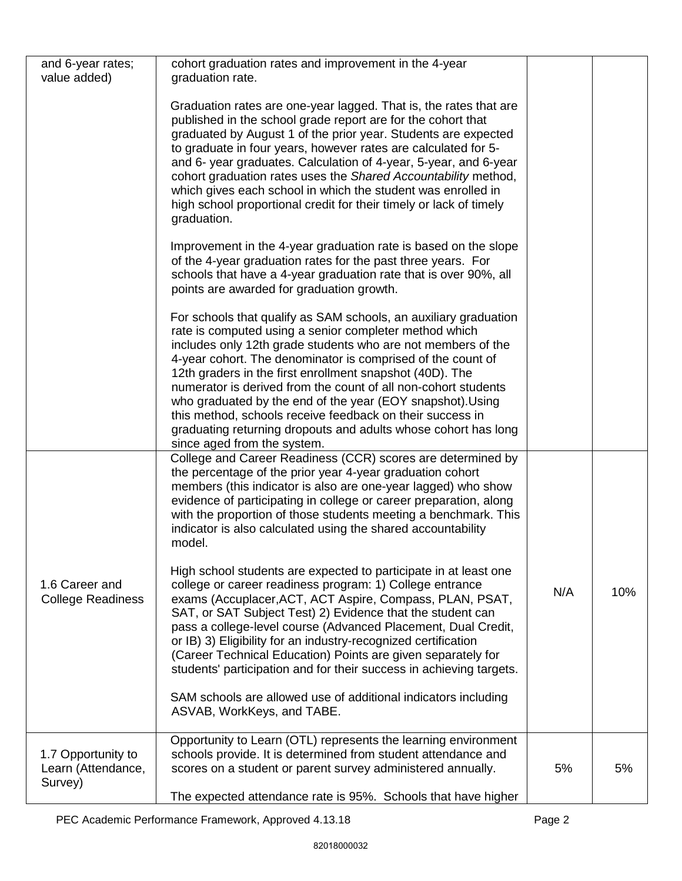| and 6-year rates;<br>value added)                   | cohort graduation rates and improvement in the 4-year<br>graduation rate.                                                                                                                                                                                                                                                                                                                                                                                                                                                                                                                                           |     |     |
|-----------------------------------------------------|---------------------------------------------------------------------------------------------------------------------------------------------------------------------------------------------------------------------------------------------------------------------------------------------------------------------------------------------------------------------------------------------------------------------------------------------------------------------------------------------------------------------------------------------------------------------------------------------------------------------|-----|-----|
|                                                     | Graduation rates are one-year lagged. That is, the rates that are<br>published in the school grade report are for the cohort that<br>graduated by August 1 of the prior year. Students are expected<br>to graduate in four years, however rates are calculated for 5-<br>and 6- year graduates. Calculation of 4-year, 5-year, and 6-year<br>cohort graduation rates uses the Shared Accountability method,<br>which gives each school in which the student was enrolled in<br>high school proportional credit for their timely or lack of timely<br>graduation.                                                    |     |     |
|                                                     | Improvement in the 4-year graduation rate is based on the slope<br>of the 4-year graduation rates for the past three years. For<br>schools that have a 4-year graduation rate that is over 90%, all<br>points are awarded for graduation growth.                                                                                                                                                                                                                                                                                                                                                                    |     |     |
|                                                     | For schools that qualify as SAM schools, an auxiliary graduation<br>rate is computed using a senior completer method which<br>includes only 12th grade students who are not members of the<br>4-year cohort. The denominator is comprised of the count of<br>12th graders in the first enrollment snapshot (40D). The<br>numerator is derived from the count of all non-cohort students<br>who graduated by the end of the year (EOY snapshot). Using<br>this method, schools receive feedback on their success in<br>graduating returning dropouts and adults whose cohort has long<br>since aged from the system. |     |     |
|                                                     | College and Career Readiness (CCR) scores are determined by<br>the percentage of the prior year 4-year graduation cohort<br>members (this indicator is also are one-year lagged) who show<br>evidence of participating in college or career preparation, along<br>with the proportion of those students meeting a benchmark. This<br>indicator is also calculated using the shared accountability<br>model.                                                                                                                                                                                                         |     |     |
| 1.6 Career and<br><b>College Readiness</b>          | High school students are expected to participate in at least one<br>college or career readiness program: 1) College entrance<br>exams (Accuplacer, ACT, ACT Aspire, Compass, PLAN, PSAT,<br>SAT, or SAT Subject Test) 2) Evidence that the student can<br>pass a college-level course (Advanced Placement, Dual Credit,<br>or IB) 3) Eligibility for an industry-recognized certification<br>(Career Technical Education) Points are given separately for<br>students' participation and for their success in achieving targets.                                                                                    | N/A | 10% |
|                                                     | SAM schools are allowed use of additional indicators including<br>ASVAB, WorkKeys, and TABE.                                                                                                                                                                                                                                                                                                                                                                                                                                                                                                                        |     |     |
| 1.7 Opportunity to<br>Learn (Attendance,<br>Survey) | Opportunity to Learn (OTL) represents the learning environment<br>schools provide. It is determined from student attendance and<br>scores on a student or parent survey administered annually.<br>The expected attendance rate is 95%. Schools that have higher                                                                                                                                                                                                                                                                                                                                                     | 5%  | 5%  |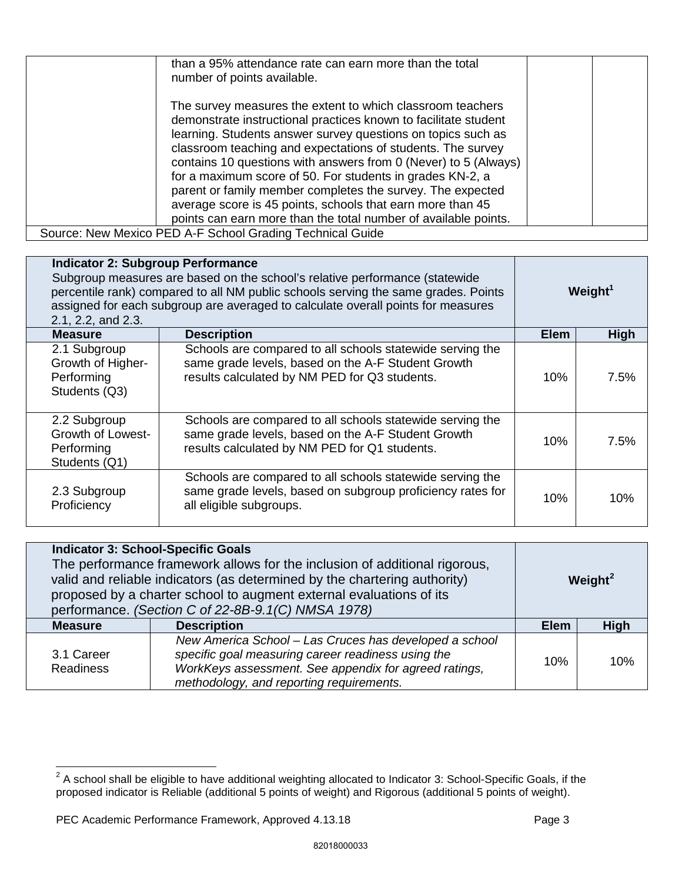| than a 95% attendance rate can earn more than the total<br>number of points available.                                                                                                                                                                                                                                                                                                                                                                                                                                                                                                      |  |
|---------------------------------------------------------------------------------------------------------------------------------------------------------------------------------------------------------------------------------------------------------------------------------------------------------------------------------------------------------------------------------------------------------------------------------------------------------------------------------------------------------------------------------------------------------------------------------------------|--|
| The survey measures the extent to which classroom teachers<br>demonstrate instructional practices known to facilitate student<br>learning. Students answer survey questions on topics such as<br>classroom teaching and expectations of students. The survey<br>contains 10 questions with answers from 0 (Never) to 5 (Always)<br>for a maximum score of 50. For students in grades KN-2, a<br>parent or family member completes the survey. The expected<br>average score is 45 points, schools that earn more than 45<br>points can earn more than the total number of available points. |  |
| Source: New Mexico PED A-F School Grading Technical Guide                                                                                                                                                                                                                                                                                                                                                                                                                                                                                                                                   |  |

| <b>Indicator 2: Subgroup Performance</b><br>Subgroup measures are based on the school's relative performance (statewide<br>percentile rank) compared to all NM public schools serving the same grades. Points<br>assigned for each subgroup are averaged to calculate overall points for measures<br>2.1, 2.2, and 2.3. |                                                                                                                                                                  | Weight <sup>1</sup> |      |
|-------------------------------------------------------------------------------------------------------------------------------------------------------------------------------------------------------------------------------------------------------------------------------------------------------------------------|------------------------------------------------------------------------------------------------------------------------------------------------------------------|---------------------|------|
| <b>Measure</b>                                                                                                                                                                                                                                                                                                          | <b>Description</b>                                                                                                                                               | <b>Elem</b>         | High |
| 2.1 Subgroup<br>Growth of Higher-<br>Performing<br>Students (Q3)                                                                                                                                                                                                                                                        | Schools are compared to all schools statewide serving the<br>same grade levels, based on the A-F Student Growth<br>results calculated by NM PED for Q3 students. | 10%                 | 7.5% |
| 2.2 Subgroup<br>Growth of Lowest-<br>Performing<br>Students (Q1)                                                                                                                                                                                                                                                        | Schools are compared to all schools statewide serving the<br>same grade levels, based on the A-F Student Growth<br>results calculated by NM PED for Q1 students. | 10%                 | 7.5% |
| 2.3 Subgroup<br>Proficiency                                                                                                                                                                                                                                                                                             | Schools are compared to all schools statewide serving the<br>same grade levels, based on subgroup proficiency rates for<br>all eligible subgroups.               | 10%                 | 10%  |

| <b>Indicator 3: School-Specific Goals</b><br>The performance framework allows for the inclusion of additional rigorous,<br>valid and reliable indicators (as determined by the chartering authority)<br>proposed by a charter school to augment external evaluations of its<br>performance. (Section C of 22-8B-9.1(C) NMSA 1978) |                                                                                                                                                                                                                   |             | Weight <sup>2</sup> |  |
|-----------------------------------------------------------------------------------------------------------------------------------------------------------------------------------------------------------------------------------------------------------------------------------------------------------------------------------|-------------------------------------------------------------------------------------------------------------------------------------------------------------------------------------------------------------------|-------------|---------------------|--|
| <b>Measure</b>                                                                                                                                                                                                                                                                                                                    | <b>Description</b>                                                                                                                                                                                                | <b>Elem</b> | <b>High</b>         |  |
| 3.1 Career<br><b>Readiness</b>                                                                                                                                                                                                                                                                                                    | New America School - Las Cruces has developed a school<br>specific goal measuring career readiness using the<br>WorkKeys assessment. See appendix for agreed ratings,<br>methodology, and reporting requirements. | 10%         | 10%                 |  |

 $\overline{a}$ 

<span id="page-2-0"></span> $2$  A school shall be eligible to have additional weighting allocated to Indicator 3: School-Specific Goals, if the proposed indicator is Reliable (additional 5 points of weight) and Rigorous (additional 5 points of weight).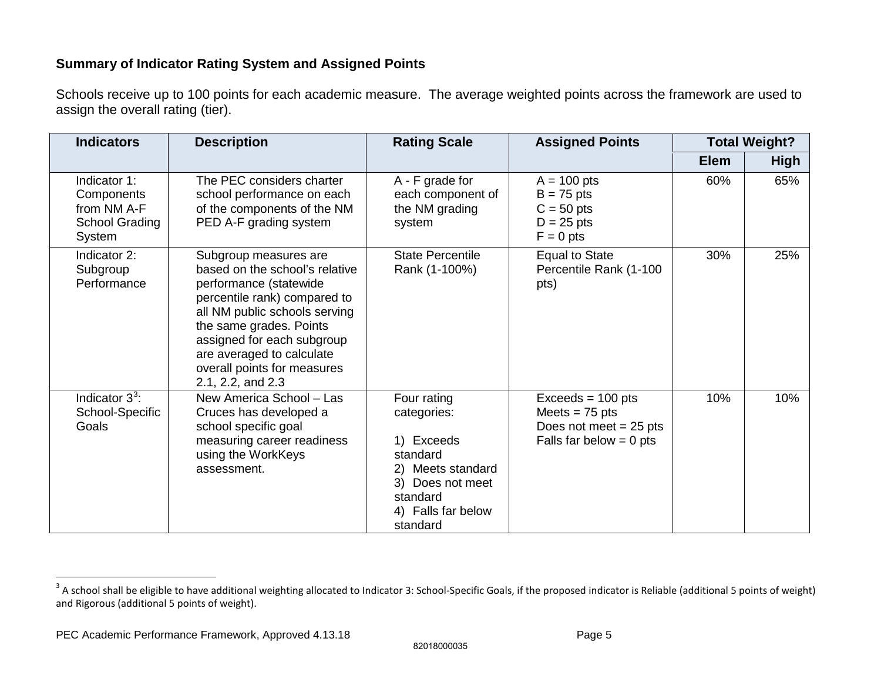## <span id="page-4-0"></span>**Summary of Indicator Rating System and Assigned Points**

Schools receive up to 100 points for each academic measure. The average weighted points across the framework are used to assign the overall rating (tier).

| <b>Indicators</b>                                                     | <b>Description</b>                                                                                                                                                                                                                                                                           | <b>Rating Scale</b>                                                                                                                         | <b>Assigned Points</b>                                                                           | <b>Total Weight?</b> |             |
|-----------------------------------------------------------------------|----------------------------------------------------------------------------------------------------------------------------------------------------------------------------------------------------------------------------------------------------------------------------------------------|---------------------------------------------------------------------------------------------------------------------------------------------|--------------------------------------------------------------------------------------------------|----------------------|-------------|
|                                                                       |                                                                                                                                                                                                                                                                                              |                                                                                                                                             |                                                                                                  | <b>Elem</b>          | <b>High</b> |
| Indicator 1:<br>Components<br>from NM A-F<br>School Grading<br>System | The PEC considers charter<br>school performance on each<br>of the components of the NM<br>PED A-F grading system                                                                                                                                                                             | A - F grade for<br>each component of<br>the NM grading<br>system                                                                            | $A = 100$ pts<br>$B = 75$ pts<br>$C = 50$ pts<br>$D = 25$ pts<br>$F = 0$ pts                     | 60%                  | 65%         |
| Indicator 2:<br>Subgroup<br>Performance                               | Subgroup measures are<br>based on the school's relative<br>performance (statewide<br>percentile rank) compared to<br>all NM public schools serving<br>the same grades. Points<br>assigned for each subgroup<br>are averaged to calculate<br>overall points for measures<br>2.1, 2.2, and 2.3 | <b>State Percentile</b><br>Rank (1-100%)                                                                                                    | <b>Equal to State</b><br>Percentile Rank (1-100<br>pts)                                          | 30%                  | 25%         |
| Indicator $3^3$ :<br>School-Specific<br>Goals                         | New America School - Las<br>Cruces has developed a<br>school specific goal<br>measuring career readiness<br>using the WorkKeys<br>assessment.                                                                                                                                                | Four rating<br>categories:<br>1) Exceeds<br>standard<br>2) Meets standard<br>3) Does not meet<br>standard<br>4) Falls far below<br>standard | $Exceeds = 100 pts$<br>Meets = $75$ pts<br>Does not meet $= 25$ pts<br>Falls far below $= 0$ pts | 10%                  | 10%         |

82018000035

 $\overline{a}$ 

 $^3$  A school shall be eligible to have additional weighting allocated to Indicator 3: School-Specific Goals, if the proposed indicator is Reliable (additional 5 points of weight) and Rigorous (additional 5 points of weight).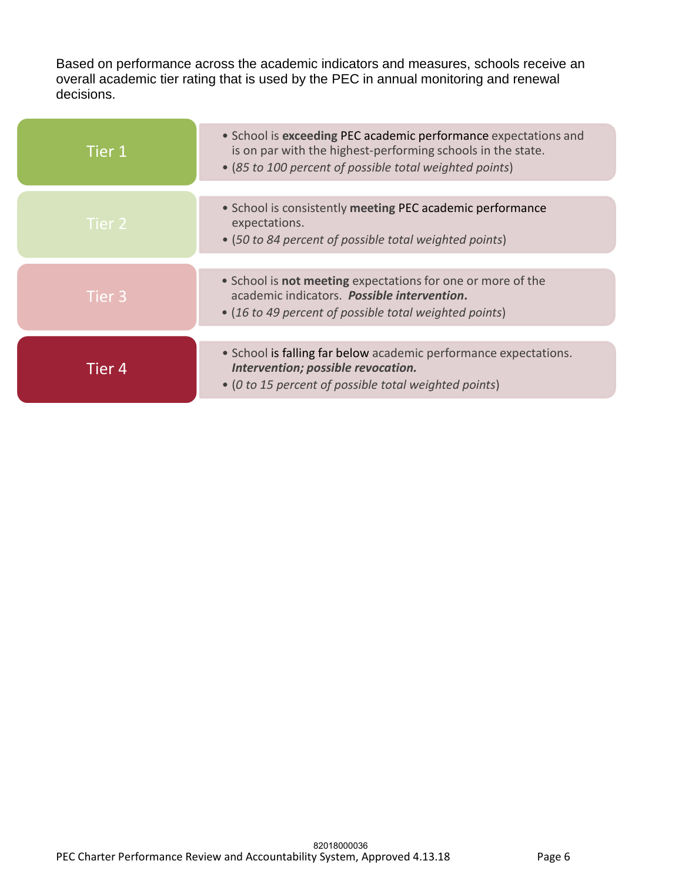Based on performance across the academic indicators and measures, schools receive an overall academic tier rating that is used by the PEC in annual monitoring and renewal decisions.

| Tier 1 | • School is exceeding PEC academic performance expectations and<br>is on par with the highest-performing schools in the state.<br>• (85 to 100 percent of possible total weighted points) |
|--------|-------------------------------------------------------------------------------------------------------------------------------------------------------------------------------------------|
| Tier 2 | • School is consistently meeting PEC academic performance<br>expectations.<br>• (50 to 84 percent of possible total weighted points)                                                      |
| Tier 3 | • School is <b>not meeting</b> expectations for one or more of the<br>academic indicators. Possible intervention.<br>• (16 to 49 percent of possible total weighted points)               |
| Tier 4 | • School is falling far below academic performance expectations.<br>Intervention; possible revocation.<br>• (0 to 15 percent of possible total weighted points)                           |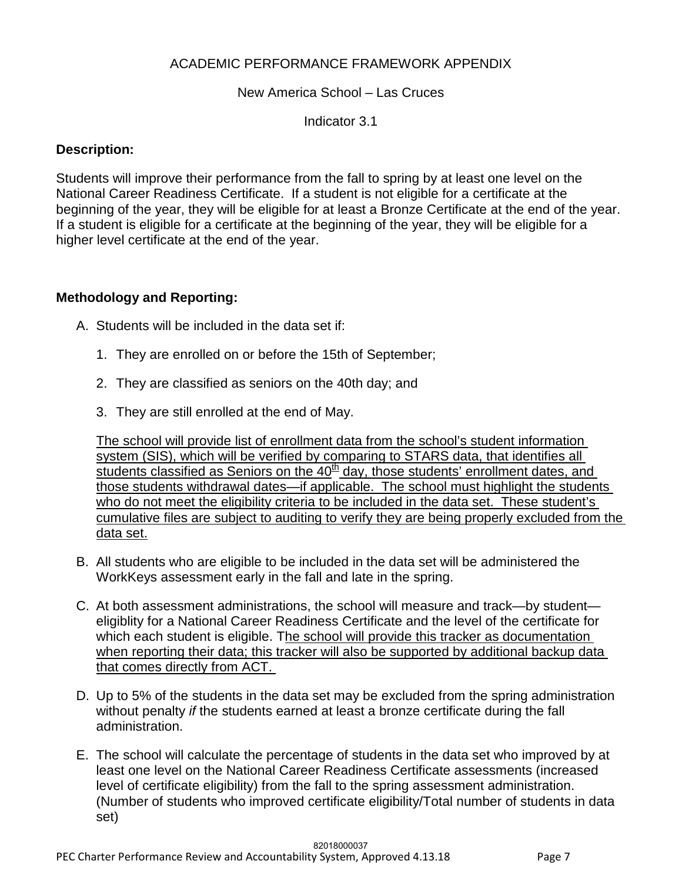### ACADEMIC PERFORMANCE FRAMEWORK APPENDIX

#### New America School – Las Cruces

Indicator 3.1

#### **Description:**

Students will improve their performance from the fall to spring by at least one level on the National Career Readiness Certificate. If a student is not eligible for a certificate at the beginning of the year, they will be eligible for at least a Bronze Certificate at the end of the year. If a student is eligible for a certificate at the beginning of the year, they will be eligible for a higher level certificate at the end of the year.

#### **Methodology and Reporting:**

A. Students will be included in the data set if:

- 1. They are enrolled on or before the 15th of September;
- 2. They are classified as seniors on the 40th day; and
- 3. They are still enrolled at the end of May.

The school will provide list of enrollment data from the school's student information system (SIS), which will be verified by comparing to STARS data, that identifies all students classified as Seniors on the  $40<sup>th</sup>$  day, those students' enrollment dates, and those students withdrawal dates—if applicable. The school must highlight the students who do not meet the eligibility criteria to be included in the data set. These student's cumulative files are subject to auditing to verify they are being properly excluded from the data set.

- B. All students who are eligible to be included in the data set will be administered the WorkKeys assessment early in the fall and late in the spring.
- C. At both assessment administrations, the school will measure and track—by student eligiblity for a National Career Readiness Certificate and the level of the certificate for which each student is eligible. The school will provide this tracker as documentation when reporting their data; this tracker will also be supported by additional backup data that comes directly from ACT.
- D. Up to 5% of the students in the data set may be excluded from the spring administration without penalty *if* the students earned at least a bronze certificate during the fall administration.
- E. The school will calculate the percentage of students in the data set who improved by at least one level on the National Career Readiness Certificate assessments (increased level of certificate eligibility) from the fall to the spring assessment administration. (Number of students who improved certificate eligibility/Total number of students in data set)